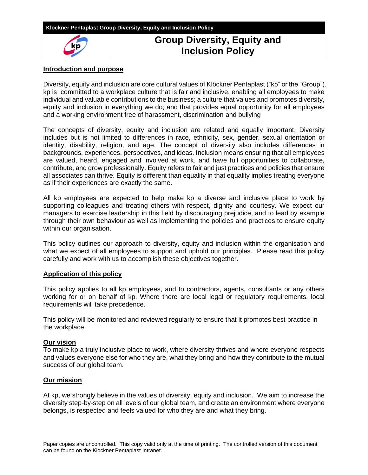

# **Group Diversity, Equity and Inclusion Policy**

# **Introduction and purpose**

Diversity, equity and inclusion are core cultural values of Klöckner Pentaplast ("kp" or the "Group"). kp is committed to a workplace culture that is fair and inclusive, enabling all employees to make individual and valuable contributions to the business; a culture that values and promotes diversity, equity and inclusion in everything we do; and that provides equal opportunity for all employees and a working environment free of harassment, discrimination and bullying

The concepts of diversity, equity and inclusion are related and equally important. Diversity includes but is not limited to differences in race, ethnicity, sex, gender, sexual orientation or identity, disability, religion, and age. The concept of diversity also includes differences in backgrounds, experiences, perspectives, and ideas. Inclusion means ensuring that all employees are valued, heard, engaged and involved at work, and have full opportunities to collaborate, contribute, and grow professionally. Equity refers to fair and just practices and policies that ensure all associates can thrive. Equity is different than equality in that equality implies treating everyone as if their experiences are exactly the same.

All kp employees are expected to help make kp a diverse and inclusive place to work by supporting colleagues and treating others with respect, dignity and courtesy. We expect our managers to exercise leadership in this field by discouraging prejudice, and to lead by example through their own behaviour as well as implementing the policies and practices to ensure equity within our organisation.

This policy outlines our approach to diversity, equity and inclusion within the organisation and what we expect of all employees to support and uphold our principles. Please read this policy carefully and work with us to accomplish these objectives together.

# **Application of this policy**

This policy applies to all kp employees, and to contractors, agents, consultants or any others working for or on behalf of kp. Where there are local legal or regulatory requirements, local requirements will take precedence.

This policy will be monitored and reviewed regularly to ensure that it promotes best practice in the workplace.

# **Our vision**

To make kp a truly inclusive place to work, where diversity thrives and where everyone respects and values everyone else for who they are, what they bring and how they contribute to the mutual success of our global team.

### **Our mission**

At kp, we strongly believe in the values of diversity, equity and inclusion. We aim to increase the diversity step-by-step on all levels of our global team, and create an environment where everyone belongs, is respected and feels valued for who they are and what they bring.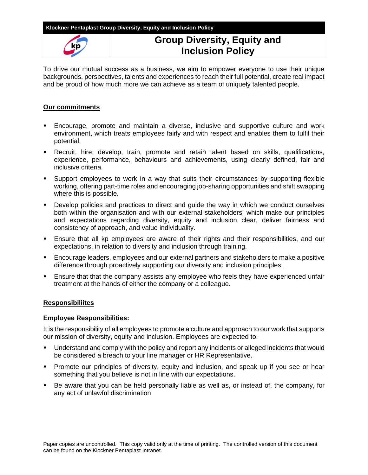### **Klockner Pentaplast Group Diversity, Equity and Inclusion Policy**



# **Group Diversity, Equity and Inclusion Policy**

To drive our mutual success as a business, we aim to empower everyone to use their unique backgrounds, perspectives, talents and experiences to reach their full potential, create real impact and be proud of how much more we can achieve as a team of uniquely talented people.

# **Our commitments**

- **Encourage, promote and maintain a diverse, inclusive and supportive culture and work** environment, which treats employees fairly and with respect and enables them to fulfil their potential.
- Recruit, hire, develop, train, promote and retain talent based on skills, qualifications, experience, performance, behaviours and achievements, using clearly defined, fair and inclusive criteria.
- Support employees to work in a way that suits their circumstances by supporting flexible working, offering part-time roles and encouraging job-sharing opportunities and shift swapping where this is possible.
- **•** Develop policies and practices to direct and guide the way in which we conduct ourselves both within the organisation and with our external stakeholders, which make our principles and expectations regarding diversity, equity and inclusion clear, deliver fairness and consistency of approach, and value individuality.
- **Ensure that all kp employees are aware of their rights and their responsibilities, and our** expectations, in relation to diversity and inclusion through training.
- **Encourage leaders, employees and our external partners and stakeholders to make a positive** difference through proactively supporting our diversity and inclusion principles.
- Ensure that that the company assists any employee who feels they have experienced unfair treatment at the hands of either the company or a colleague.

### **Responsibiliites**

### **Employee Responsibilities:**

It is the responsibility of all employees to promote a culture and approach to our work that supports our mission of diversity, equity and inclusion. Employees are expected to:

- Understand and comply with the policy and report any incidents or alleged incidents that would be considered a breach to your line manager or HR Representative.
- Promote our principles of diversity, equity and inclusion, and speak up if you see or hear something that you believe is not in line with our expectations.
- Be aware that you can be held personally liable as well as, or instead of, the company, for any act of unlawful discrimination